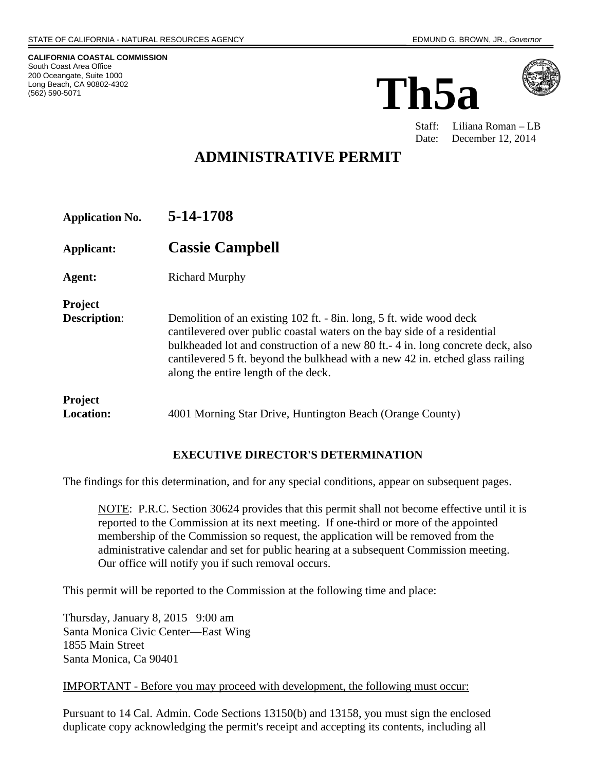**CALIFORNIA COASTAL COMMISSION**  South Coast Area Office 200 Oceangate, Suite 1000 Long Beach, CA 90802-4302 (562) 590-5071





Staff: Liliana Roman – LB Date: December 12, 2014

# **ADMINISTRATIVE PERMIT**

| <b>Application No.</b>                | 5-14-1708                                                                                                                                                                                                                                                                                                                                                    |
|---------------------------------------|--------------------------------------------------------------------------------------------------------------------------------------------------------------------------------------------------------------------------------------------------------------------------------------------------------------------------------------------------------------|
| Applicant:                            | <b>Cassie Campbell</b>                                                                                                                                                                                                                                                                                                                                       |
| Agent:                                | <b>Richard Murphy</b>                                                                                                                                                                                                                                                                                                                                        |
| <b>Project</b><br><b>Description:</b> | Demolition of an existing 102 ft. - 8in. long, 5 ft. wide wood deck<br>cantilevered over public coastal waters on the bay side of a residential<br>bulkheaded lot and construction of a new 80 ft. - 4 in. long concrete deck, also<br>cantilevered 5 ft. beyond the bulkhead with a new 42 in. etched glass railing<br>along the entire length of the deck. |
| <b>Project</b><br><b>Location:</b>    | 4001 Morning Star Drive, Huntington Beach (Orange County)                                                                                                                                                                                                                                                                                                    |

## **EXECUTIVE DIRECTOR'S DETERMINATION**

The findings for this determination, and for any special conditions, appear on subsequent pages.

NOTE: P.R.C. Section 30624 provides that this permit shall not become effective until it is reported to the Commission at its next meeting. If one-third or more of the appointed membership of the Commission so request, the application will be removed from the administrative calendar and set for public hearing at a subsequent Commission meeting. Our office will notify you if such removal occurs.

This permit will be reported to the Commission at the following time and place:

Thursday, January 8, 2015 9:00 am Santa Monica Civic Center—East Wing 1855 Main Street Santa Monica, Ca 90401

#### IMPORTANT - Before you may proceed with development, the following must occur:

Pursuant to 14 Cal. Admin. Code Sections 13150(b) and 13158, you must sign the enclosed duplicate copy acknowledging the permit's receipt and accepting its contents, including all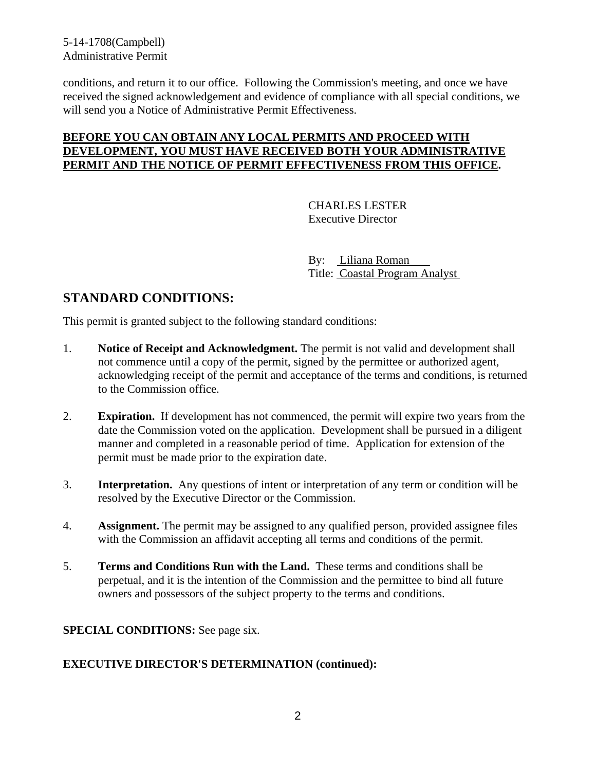5-14-1708(Campbell) Administrative Permit

conditions, and return it to our office. Following the Commission's meeting, and once we have received the signed acknowledgement and evidence of compliance with all special conditions, we will send you a Notice of Administrative Permit Effectiveness.

### **BEFORE YOU CAN OBTAIN ANY LOCAL PERMITS AND PROCEED WITH DEVELOPMENT, YOU MUST HAVE RECEIVED BOTH YOUR ADMINISTRATIVE PERMIT AND THE NOTICE OF PERMIT EFFECTIVENESS FROM THIS OFFICE.**

 CHARLES LESTER Executive Director

 By: Liliana Roman Title: Coastal Program Analyst

# **STANDARD CONDITIONS:**

This permit is granted subject to the following standard conditions:

- 1. **Notice of Receipt and Acknowledgment.** The permit is not valid and development shall not commence until a copy of the permit, signed by the permittee or authorized agent, acknowledging receipt of the permit and acceptance of the terms and conditions, is returned to the Commission office.
- 2. **Expiration.** If development has not commenced, the permit will expire two years from the date the Commission voted on the application. Development shall be pursued in a diligent manner and completed in a reasonable period of time. Application for extension of the permit must be made prior to the expiration date.
- 3. **Interpretation.** Any questions of intent or interpretation of any term or condition will be resolved by the Executive Director or the Commission.
- 4. **Assignment.** The permit may be assigned to any qualified person, provided assignee files with the Commission an affidavit accepting all terms and conditions of the permit.
- 5. **Terms and Conditions Run with the Land.** These terms and conditions shall be perpetual, and it is the intention of the Commission and the permittee to bind all future owners and possessors of the subject property to the terms and conditions.

#### **SPECIAL CONDITIONS:** See page six.

#### **EXECUTIVE DIRECTOR'S DETERMINATION (continued):**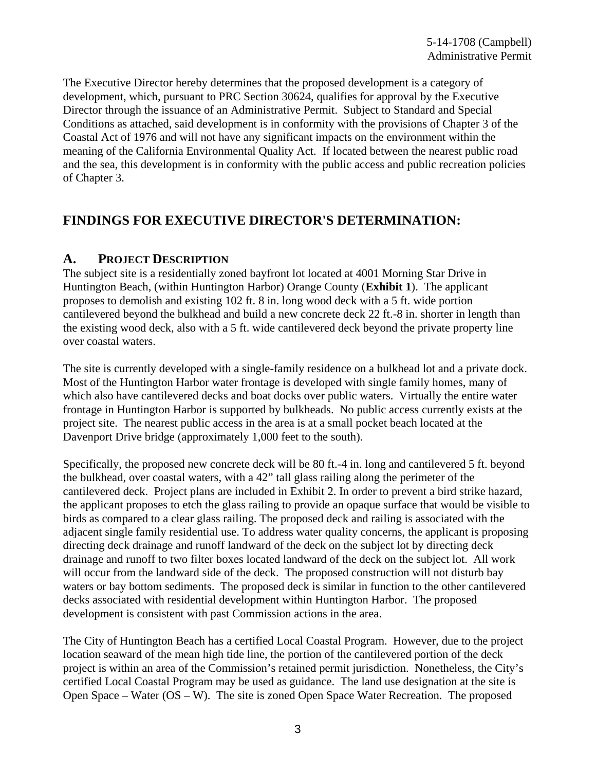The Executive Director hereby determines that the proposed development is a category of development, which, pursuant to PRC Section 30624, qualifies for approval by the Executive Director through the issuance of an Administrative Permit. Subject to Standard and Special Conditions as attached, said development is in conformity with the provisions of Chapter 3 of the Coastal Act of 1976 and will not have any significant impacts on the environment within the meaning of the California Environmental Quality Act. If located between the nearest public road and the sea, this development is in conformity with the public access and public recreation policies of Chapter 3.

# **FINDINGS FOR EXECUTIVE DIRECTOR'S DETERMINATION:**

## **A. PROJECT DESCRIPTION**

The subject site is a residentially zoned bayfront lot located at 4001 Morning Star Drive in Huntington Beach, (within Huntington Harbor) Orange County (**Exhibit 1**). The applicant proposes to demolish and existing 102 ft. 8 in. long wood deck with a 5 ft. wide portion cantilevered beyond the bulkhead and build a new concrete deck 22 ft.-8 in. shorter in length than the existing wood deck, also with a 5 ft. wide cantilevered deck beyond the private property line over coastal waters.

The site is currently developed with a single-family residence on a bulkhead lot and a private dock. Most of the Huntington Harbor water frontage is developed with single family homes, many of which also have cantilevered decks and boat docks over public waters. Virtually the entire water frontage in Huntington Harbor is supported by bulkheads. No public access currently exists at the project site. The nearest public access in the area is at a small pocket beach located at the Davenport Drive bridge (approximately 1,000 feet to the south).

Specifically, the proposed new concrete deck will be 80 ft.-4 in. long and cantilevered 5 ft. beyond the bulkhead, over coastal waters, with a 42" tall glass railing along the perimeter of the cantilevered deck. Project plans are included in Exhibit 2. In order to prevent a bird strike hazard, the applicant proposes to etch the glass railing to provide an opaque surface that would be visible to birds as compared to a clear glass railing. The proposed deck and railing is associated with the adjacent single family residential use. To address water quality concerns, the applicant is proposing directing deck drainage and runoff landward of the deck on the subject lot by directing deck drainage and runoff to two filter boxes located landward of the deck on the subject lot. All work will occur from the landward side of the deck. The proposed construction will not disturb bay waters or bay bottom sediments. The proposed deck is similar in function to the other cantilevered decks associated with residential development within Huntington Harbor. The proposed development is consistent with past Commission actions in the area.

The City of Huntington Beach has a certified Local Coastal Program. However, due to the project location seaward of the mean high tide line, the portion of the cantilevered portion of the deck project is within an area of the Commission's retained permit jurisdiction. Nonetheless, the City's certified Local Coastal Program may be used as guidance. The land use designation at the site is Open Space – Water (OS – W). The site is zoned Open Space Water Recreation. The proposed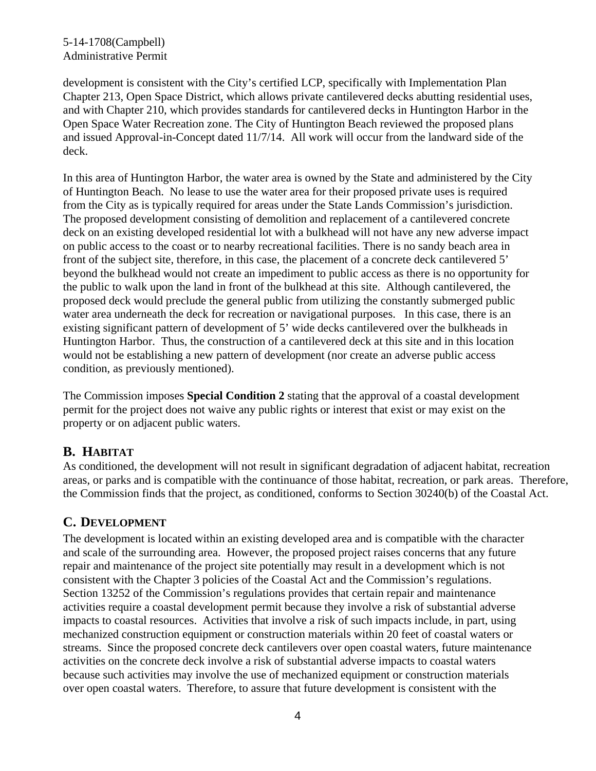5-14-1708(Campbell) Administrative Permit

development is consistent with the City's certified LCP, specifically with Implementation Plan Chapter 213, Open Space District, which allows private cantilevered decks abutting residential uses, and with Chapter 210, which provides standards for cantilevered decks in Huntington Harbor in the Open Space Water Recreation zone. The City of Huntington Beach reviewed the proposed plans and issued Approval-in-Concept dated 11/7/14. All work will occur from the landward side of the deck.

In this area of Huntington Harbor, the water area is owned by the State and administered by the City of Huntington Beach. No lease to use the water area for their proposed private uses is required from the City as is typically required for areas under the State Lands Commission's jurisdiction. The proposed development consisting of demolition and replacement of a cantilevered concrete deck on an existing developed residential lot with a bulkhead will not have any new adverse impact on public access to the coast or to nearby recreational facilities. There is no sandy beach area in front of the subject site, therefore, in this case, the placement of a concrete deck cantilevered 5' beyond the bulkhead would not create an impediment to public access as there is no opportunity for the public to walk upon the land in front of the bulkhead at this site. Although cantilevered, the proposed deck would preclude the general public from utilizing the constantly submerged public water area underneath the deck for recreation or navigational purposes. In this case, there is an existing significant pattern of development of 5' wide decks cantilevered over the bulkheads in Huntington Harbor. Thus, the construction of a cantilevered deck at this site and in this location would not be establishing a new pattern of development (nor create an adverse public access condition, as previously mentioned).

The Commission imposes **Special Condition 2** stating that the approval of a coastal development permit for the project does not waive any public rights or interest that exist or may exist on the property or on adjacent public waters.

## **B. HABITAT**

As conditioned, the development will not result in significant degradation of adjacent habitat, recreation areas, or parks and is compatible with the continuance of those habitat, recreation, or park areas. Therefore, the Commission finds that the project, as conditioned, conforms to Section 30240(b) of the Coastal Act.

## **C. DEVELOPMENT**

The development is located within an existing developed area and is compatible with the character and scale of the surrounding area. However, the proposed project raises concerns that any future repair and maintenance of the project site potentially may result in a development which is not consistent with the Chapter 3 policies of the Coastal Act and the Commission's regulations. Section 13252 of the Commission's regulations provides that certain repair and maintenance activities require a coastal development permit because they involve a risk of substantial adverse impacts to coastal resources. Activities that involve a risk of such impacts include, in part, using mechanized construction equipment or construction materials within 20 feet of coastal waters or streams. Since the proposed concrete deck cantilevers over open coastal waters, future maintenance activities on the concrete deck involve a risk of substantial adverse impacts to coastal waters because such activities may involve the use of mechanized equipment or construction materials over open coastal waters. Therefore, to assure that future development is consistent with the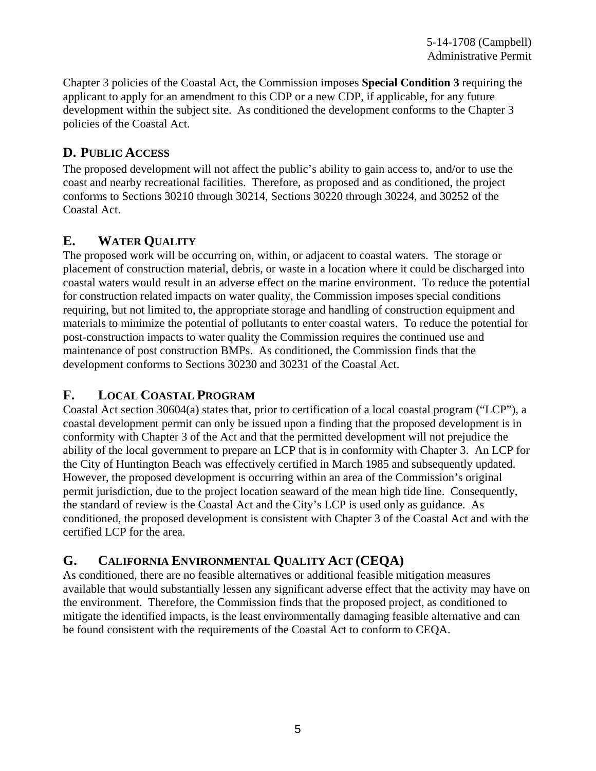Chapter 3 policies of the Coastal Act, the Commission imposes **Special Condition 3** requiring the applicant to apply for an amendment to this CDP or a new CDP, if applicable, for any future development within the subject site. As conditioned the development conforms to the Chapter 3 policies of the Coastal Act.

# **D. PUBLIC ACCESS**

The proposed development will not affect the public's ability to gain access to, and/or to use the coast and nearby recreational facilities. Therefore, as proposed and as conditioned, the project conforms to Sections 30210 through 30214, Sections 30220 through 30224, and 30252 of the Coastal Act.

# **E. WATER QUALITY**

The proposed work will be occurring on, within, or adjacent to coastal waters. The storage or placement of construction material, debris, or waste in a location where it could be discharged into coastal waters would result in an adverse effect on the marine environment. To reduce the potential for construction related impacts on water quality, the Commission imposes special conditions requiring, but not limited to, the appropriate storage and handling of construction equipment and materials to minimize the potential of pollutants to enter coastal waters. To reduce the potential for post-construction impacts to water quality the Commission requires the continued use and maintenance of post construction BMPs. As conditioned, the Commission finds that the development conforms to Sections 30230 and 30231 of the Coastal Act.

# **F. LOCAL COASTAL PROGRAM**

Coastal Act section 30604(a) states that, prior to certification of a local coastal program ("LCP"), a coastal development permit can only be issued upon a finding that the proposed development is in conformity with Chapter 3 of the Act and that the permitted development will not prejudice the ability of the local government to prepare an LCP that is in conformity with Chapter 3. An LCP for the City of Huntington Beach was effectively certified in March 1985 and subsequently updated. However, the proposed development is occurring within an area of the Commission's original permit jurisdiction, due to the project location seaward of the mean high tide line. Consequently, the standard of review is the Coastal Act and the City's LCP is used only as guidance. As conditioned, the proposed development is consistent with Chapter 3 of the Coastal Act and with the certified LCP for the area.

# **G. CALIFORNIA ENVIRONMENTAL QUALITY ACT (CEQA)**

As conditioned, there are no feasible alternatives or additional feasible mitigation measures available that would substantially lessen any significant adverse effect that the activity may have on the environment. Therefore, the Commission finds that the proposed project, as conditioned to mitigate the identified impacts, is the least environmentally damaging feasible alternative and can be found consistent with the requirements of the Coastal Act to conform to CEQA.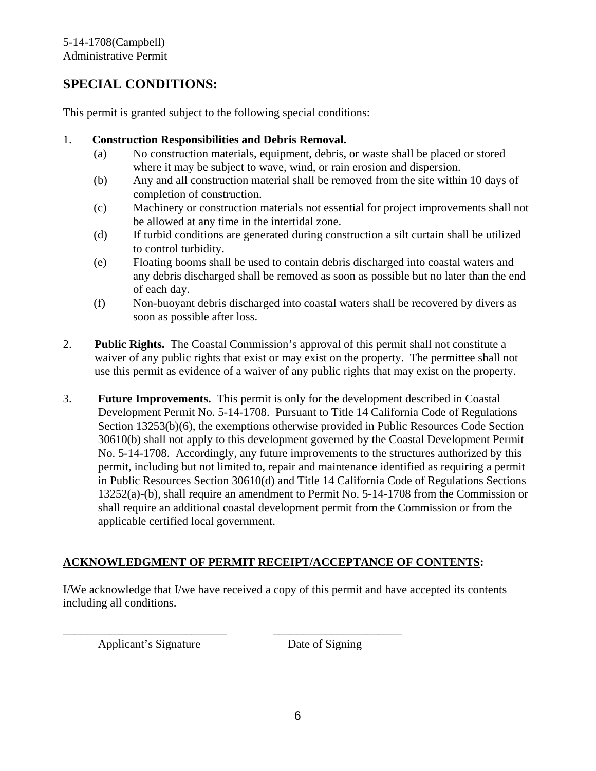# **SPECIAL CONDITIONS:**

This permit is granted subject to the following special conditions:

#### 1. **Construction Responsibilities and Debris Removal.**

- (a) No construction materials, equipment, debris, or waste shall be placed or stored where it may be subject to wave, wind, or rain erosion and dispersion.
- (b) Any and all construction material shall be removed from the site within 10 days of completion of construction.
- (c) Machinery or construction materials not essential for project improvements shall not be allowed at any time in the intertidal zone.
- (d) If turbid conditions are generated during construction a silt curtain shall be utilized to control turbidity.
- (e) Floating booms shall be used to contain debris discharged into coastal waters and any debris discharged shall be removed as soon as possible but no later than the end of each day.
- (f) Non-buoyant debris discharged into coastal waters shall be recovered by divers as soon as possible after loss.
- 2. **Public Rights.** The Coastal Commission's approval of this permit shall not constitute a waiver of any public rights that exist or may exist on the property. The permittee shall not use this permit as evidence of a waiver of any public rights that may exist on the property.
- 3. **Future Improvements.** This permit is only for the development described in Coastal Development Permit No. 5-14-1708. Pursuant to Title 14 California Code of Regulations Section 13253(b)(6), the exemptions otherwise provided in Public Resources Code Section 30610(b) shall not apply to this development governed by the Coastal Development Permit No. 5-14-1708. Accordingly, any future improvements to the structures authorized by this permit, including but not limited to, repair and maintenance identified as requiring a permit in Public Resources Section 30610(d) and Title 14 California Code of Regulations Sections 13252(a)-(b), shall require an amendment to Permit No. 5-14-1708 from the Commission or shall require an additional coastal development permit from the Commission or from the applicable certified local government.

#### **ACKNOWLEDGMENT OF PERMIT RECEIPT/ACCEPTANCE OF CONTENTS:**

\_\_\_\_\_\_\_\_\_\_\_\_\_\_\_\_\_\_\_\_\_\_\_\_\_\_\_\_ \_\_\_\_\_\_\_\_\_\_\_\_\_\_\_\_\_\_\_\_\_\_

I/We acknowledge that I/we have received a copy of this permit and have accepted its contents including all conditions.

Applicant's Signature Date of Signing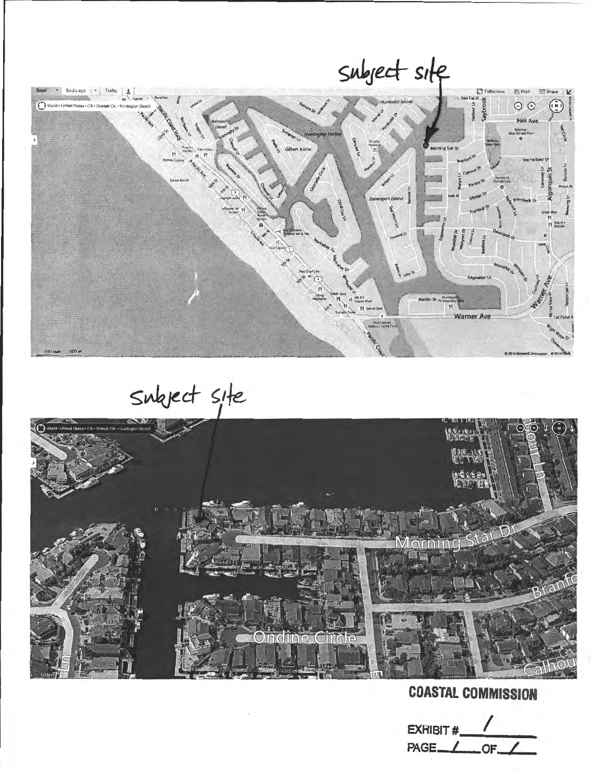

Subject site



**COASTAL COMMISSION** 

EXHIBIT # PAGE / OF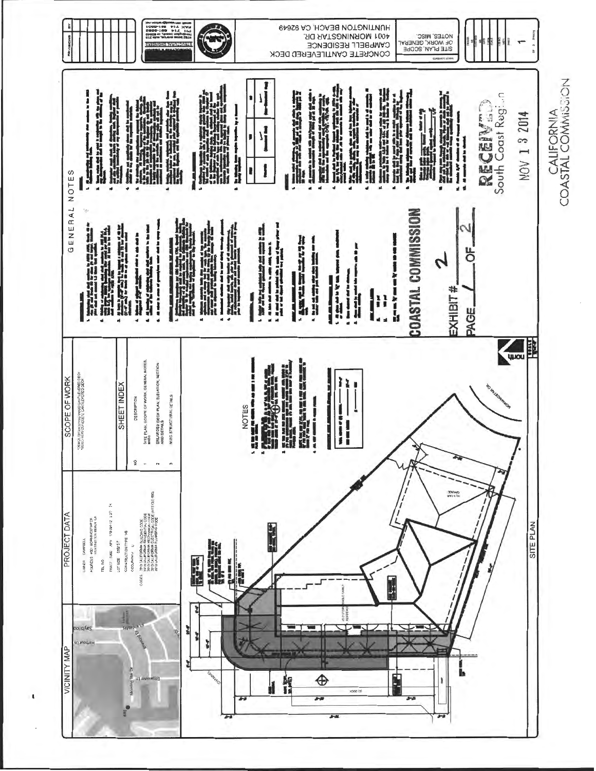